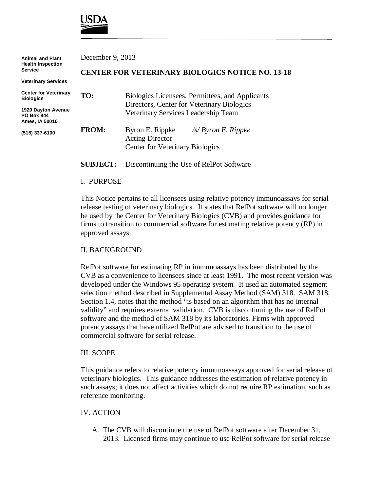

| <b>Animal and Plant</b><br><b>Health Inspection</b><br><b>Service</b>                       | December 9, 2013                                        |                                                                                                                                      |
|---------------------------------------------------------------------------------------------|---------------------------------------------------------|--------------------------------------------------------------------------------------------------------------------------------------|
|                                                                                             | <b>CENTER FOR VETERINARY BIOLOGICS NOTICE NO. 13-18</b> |                                                                                                                                      |
| <b>Veterinary Services</b>                                                                  |                                                         |                                                                                                                                      |
| <b>Center for Veterinary</b><br><b>Biologics</b><br>1920 Dayton Avenue<br><b>PO Box 844</b> | TO:                                                     | Biologics Licensees, Permittees, and Applicants<br>Directors, Center for Veterinary Biologics<br>Veterinary Services Leadership Team |
| Ames, IA 50010<br>(515) 337-6100                                                            | <b>FROM:</b>                                            | Byron E. Rippke<br>$\sqrt{s}$ Byron E. Rippke<br><b>Acting Director</b><br><b>Center for Veterinary Biologics</b>                    |
|                                                                                             | <b>SUBJECT:</b>                                         | Discontinuing the Use of RelPot Software                                                                                             |

### I. PURPOSE

This Notice pertains to all licensees using relative potency immunoassays for serial release testing of veterinary biologics. It states that RelPot software will no longer be used by the Center for Veterinary Biologics (CVB) and provides guidance for firms to transition to commercial software for estimating relative potency (RP) in approved assays.

## II. BACKGROUND

RelPot software for estimating RP in immunoassays has been distributed by the CVB as a convenience to licensees since at least 1991. The most recent version was developed under the Windows 95 operating system. It used an automated segment selection method described in Supplemental Assay Method (SAM) 318. SAM 318, Section 1.4, notes that the method "is based on an algorithm that has no internal validity" and requires external validation. CVB is discontinuing the use of RelPot software and the method of SAM 318 by its laboratories. Firms with approved potency assays that have utilized RelPot are advised to transition to the use of commercial software for serial release.

#### III. SCOPE

This guidance refers to relative potency immunoassays approved for serial release of veterinary biologics. This guidance addresses the estimation of relative potency in such assays; it does not affect activities which do not require RP estimation, such as reference monitoring.

## IV. ACTION

 A. The CVB will discontinue the use of RelPot software after December 31, 2013. Licensed firms may continue to use RelPot software for serial release